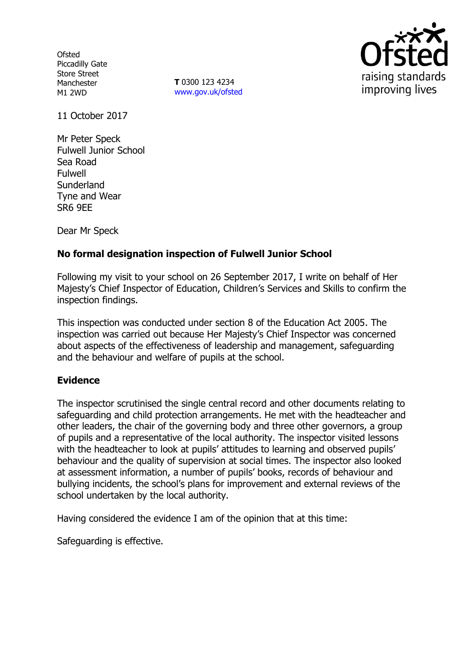**Ofsted** Piccadilly Gate Store Street Manchester M1 2WD

**T** 0300 123 4234 www.gov.uk/ofsted



11 October 2017

Mr Peter Speck Fulwell Junior School Sea Road Fulwell **Sunderland** Tyne and Wear SR6 9EE

Dear Mr Speck

## **No formal designation inspection of Fulwell Junior School**

Following my visit to your school on 26 September 2017, I write on behalf of Her Majesty's Chief Inspector of Education, Children's Services and Skills to confirm the inspection findings.

This inspection was conducted under section 8 of the Education Act 2005. The inspection was carried out because Her Majesty's Chief Inspector was concerned about aspects of the effectiveness of leadership and management, safeguarding and the behaviour and welfare of pupils at the school.

## **Evidence**

The inspector scrutinised the single central record and other documents relating to safeguarding and child protection arrangements. He met with the headteacher and other leaders, the chair of the governing body and three other governors, a group of pupils and a representative of the local authority. The inspector visited lessons with the headteacher to look at pupils' attitudes to learning and observed pupils' behaviour and the quality of supervision at social times. The inspector also looked at assessment information, a number of pupils' books, records of behaviour and bullying incidents, the school's plans for improvement and external reviews of the school undertaken by the local authority.

Having considered the evidence I am of the opinion that at this time:

Safeguarding is effective.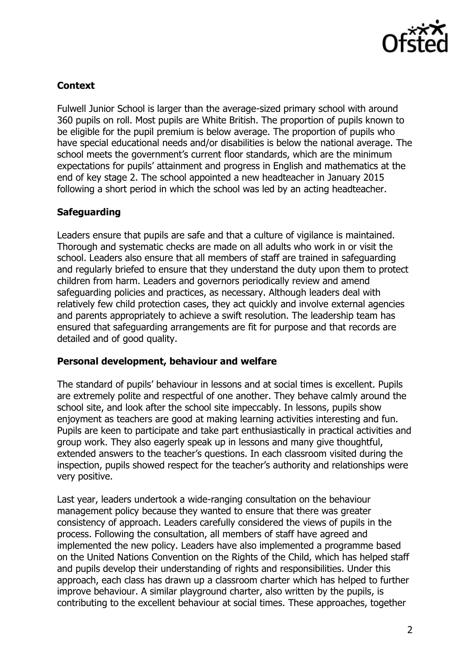

## **Context**

Fulwell Junior School is larger than the average-sized primary school with around 360 pupils on roll. Most pupils are White British. The proportion of pupils known to be eligible for the pupil premium is below average. The proportion of pupils who have special educational needs and/or disabilities is below the national average. The school meets the government's current floor standards, which are the minimum expectations for pupils' attainment and progress in English and mathematics at the end of key stage 2. The school appointed a new headteacher in January 2015 following a short period in which the school was led by an acting headteacher.

# **Safeguarding**

Leaders ensure that pupils are safe and that a culture of vigilance is maintained. Thorough and systematic checks are made on all adults who work in or visit the school. Leaders also ensure that all members of staff are trained in safeguarding and regularly briefed to ensure that they understand the duty upon them to protect children from harm. Leaders and governors periodically review and amend safeguarding policies and practices, as necessary. Although leaders deal with relatively few child protection cases, they act quickly and involve external agencies and parents appropriately to achieve a swift resolution. The leadership team has ensured that safeguarding arrangements are fit for purpose and that records are detailed and of good quality.

## **Personal development, behaviour and welfare**

The standard of pupils' behaviour in lessons and at social times is excellent. Pupils are extremely polite and respectful of one another. They behave calmly around the school site, and look after the school site impeccably. In lessons, pupils show enjoyment as teachers are good at making learning activities interesting and fun. Pupils are keen to participate and take part enthusiastically in practical activities and group work. They also eagerly speak up in lessons and many give thoughtful, extended answers to the teacher's questions. In each classroom visited during the inspection, pupils showed respect for the teacher's authority and relationships were very positive.

Last year, leaders undertook a wide-ranging consultation on the behaviour management policy because they wanted to ensure that there was greater consistency of approach. Leaders carefully considered the views of pupils in the process. Following the consultation, all members of staff have agreed and implemented the new policy. Leaders have also implemented a programme based on the United Nations Convention on the Rights of the Child, which has helped staff and pupils develop their understanding of rights and responsibilities. Under this approach, each class has drawn up a classroom charter which has helped to further improve behaviour. A similar playground charter, also written by the pupils, is contributing to the excellent behaviour at social times. These approaches, together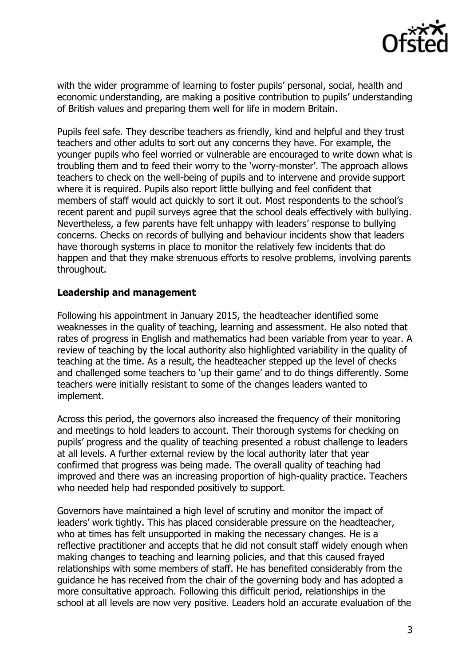

with the wider programme of learning to foster pupils' personal, social, health and economic understanding, are making a positive contribution to pupils' understanding of British values and preparing them well for life in modern Britain.

Pupils feel safe. They describe teachers as friendly, kind and helpful and they trust teachers and other adults to sort out any concerns they have. For example, the younger pupils who feel worried or vulnerable are encouraged to write down what is troubling them and to feed their worry to the 'worry-monster'. The approach allows teachers to check on the well-being of pupils and to intervene and provide support where it is required. Pupils also report little bullying and feel confident that members of staff would act quickly to sort it out. Most respondents to the school's recent parent and pupil surveys agree that the school deals effectively with bullying. Nevertheless, a few parents have felt unhappy with leaders' response to bullying concerns. Checks on records of bullying and behaviour incidents show that leaders have thorough systems in place to monitor the relatively few incidents that do happen and that they make strenuous efforts to resolve problems, involving parents throughout.

#### **Leadership and management**

Following his appointment in January 2015, the headteacher identified some weaknesses in the quality of teaching, learning and assessment. He also noted that rates of progress in English and mathematics had been variable from year to year. A review of teaching by the local authority also highlighted variability in the quality of teaching at the time. As a result, the headteacher stepped up the level of checks and challenged some teachers to 'up their game' and to do things differently. Some teachers were initially resistant to some of the changes leaders wanted to implement.

Across this period, the governors also increased the frequency of their monitoring and meetings to hold leaders to account. Their thorough systems for checking on pupils' progress and the quality of teaching presented a robust challenge to leaders at all levels. A further external review by the local authority later that year confirmed that progress was being made. The overall quality of teaching had improved and there was an increasing proportion of high-quality practice. Teachers who needed help had responded positively to support.

Governors have maintained a high level of scrutiny and monitor the impact of leaders' work tightly. This has placed considerable pressure on the headteacher, who at times has felt unsupported in making the necessary changes. He is a reflective practitioner and accepts that he did not consult staff widely enough when making changes to teaching and learning policies, and that this caused frayed relationships with some members of staff. He has benefited considerably from the guidance he has received from the chair of the governing body and has adopted a more consultative approach. Following this difficult period, relationships in the school at all levels are now very positive. Leaders hold an accurate evaluation of the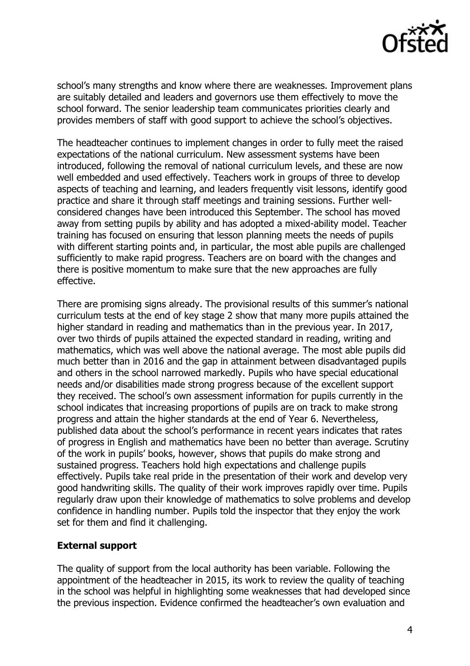

school's many strengths and know where there are weaknesses. Improvement plans are suitably detailed and leaders and governors use them effectively to move the school forward. The senior leadership team communicates priorities clearly and provides members of staff with good support to achieve the school's objectives.

The headteacher continues to implement changes in order to fully meet the raised expectations of the national curriculum. New assessment systems have been introduced, following the removal of national curriculum levels, and these are now well embedded and used effectively. Teachers work in groups of three to develop aspects of teaching and learning, and leaders frequently visit lessons, identify good practice and share it through staff meetings and training sessions. Further wellconsidered changes have been introduced this September. The school has moved away from setting pupils by ability and has adopted a mixed-ability model. Teacher training has focused on ensuring that lesson planning meets the needs of pupils with different starting points and, in particular, the most able pupils are challenged sufficiently to make rapid progress. Teachers are on board with the changes and there is positive momentum to make sure that the new approaches are fully effective.

There are promising signs already. The provisional results of this summer's national curriculum tests at the end of key stage 2 show that many more pupils attained the higher standard in reading and mathematics than in the previous year. In 2017, over two thirds of pupils attained the expected standard in reading, writing and mathematics, which was well above the national average. The most able pupils did much better than in 2016 and the gap in attainment between disadvantaged pupils and others in the school narrowed markedly. Pupils who have special educational needs and/or disabilities made strong progress because of the excellent support they received. The school's own assessment information for pupils currently in the school indicates that increasing proportions of pupils are on track to make strong progress and attain the higher standards at the end of Year 6. Nevertheless, published data about the school's performance in recent years indicates that rates of progress in English and mathematics have been no better than average. Scrutiny of the work in pupils' books, however, shows that pupils do make strong and sustained progress. Teachers hold high expectations and challenge pupils effectively. Pupils take real pride in the presentation of their work and develop very good handwriting skills. The quality of their work improves rapidly over time. Pupils regularly draw upon their knowledge of mathematics to solve problems and develop confidence in handling number. Pupils told the inspector that they enjoy the work set for them and find it challenging.

#### **External support**

The quality of support from the local authority has been variable. Following the appointment of the headteacher in 2015, its work to review the quality of teaching in the school was helpful in highlighting some weaknesses that had developed since the previous inspection. Evidence confirmed the headteacher's own evaluation and